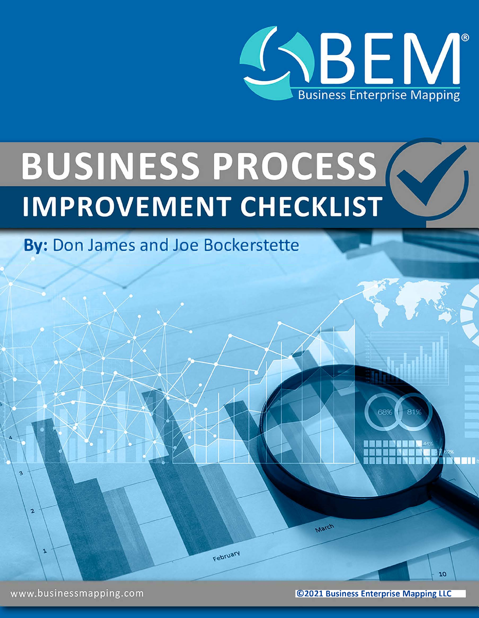

# BUSINESS PROCESS

By: Don James and Joe Bockerstette

February

**©2021 Business Enterprise Mapping LLC**

March

81%

Bu TI B

10

www.businessmapping.com

3

 $\overline{a}$ 

J.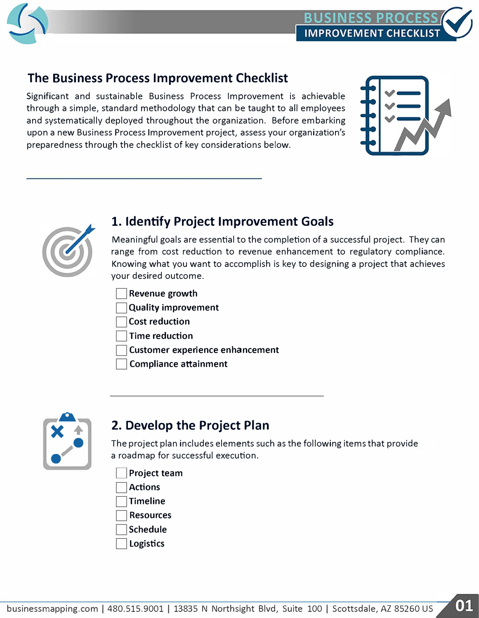

### **The Business Process Improvement Checklist**

Significant and sustainable Business Process Improvement is achievable through a simple, standard methodology that can be taught to all employees and systematically deployed throughout the organization. Before embarking upon a new Business Process Improvement project, assess your organization's preparedness through the checklist of key considerations below.





### **1. Identify Project Improvement Goals**

Meaningful goals are essential to the completion of a successful project. They can range from cost reduction to revenue enhancement to regulatory compliance. Knowing what you want to accomplish is key to designing a project that achieves your desired outcome.

- **Revenue growth**
- **Quality improvement**
- **Cost reduction**
- **Time reduction**
- **Customer experience enhancement**
- **Compliance attainment**



# **2. Develop the Project Plan**

The project plan includes elements such asthe following itemsthat provide a roadmap for successful execution.

- **Project team**
- **Actions**
- **Timeline**
- **Resources**
- **Schedule**
- **Logistics**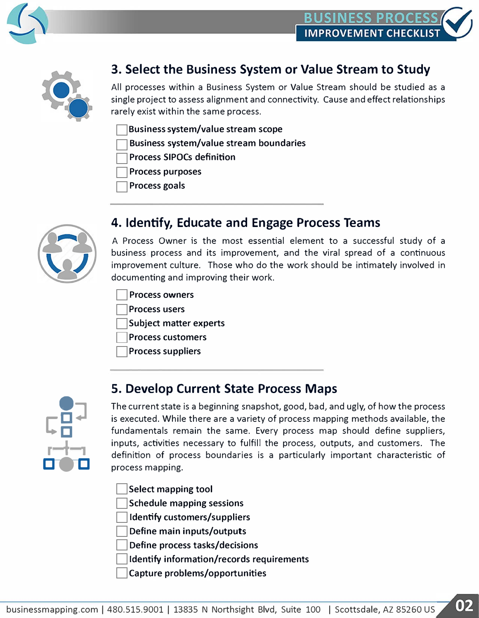



# **3. Select the Business System or Value Stream to Study**

All processes within a Business System or Value Stream should be studied as a single project to assess alignment and connectivity. Cause and effect relationships rarely exist within the same process.

- **Business system/value stream scope**
- **Business system/value stream boundaries**
- **Process SIPOCs definition**
- **Process purposes**
- **Process goals**



### **4. Identify, Educate and Engage Process Teams**

A Process Owner is the most essential element to a successful study of a business process and its improvement, and the viral spread of a continuous improvement culture. Those who do the work should be intimately involved in documenting and improving their work.

- **Process owners**
- **Process users**
- **Subject matter experts**
- **Process customers**
- **Process suppliers**



The current state is a beginning snapshot, good, bad, and ugly, of how the process is executed. While there are a variety of process mapping methods available, the fundamentals remain the same. Every process map should define suppliers, inputs, activities necessary to fulfill the process, outputs, and customers. The definition of process boundaries is a particularly important characteristic of process mapping.

- **Select mapping tool**
- **Schedule mapping sessions**
- **Identify customers/suppliers**
- **Define main inputs/outputs**
- **Define process tasks/decisions**
- **Identify information/records requirements**

**S. Develop Current State Process Maps**

**Capture problems/opportunities**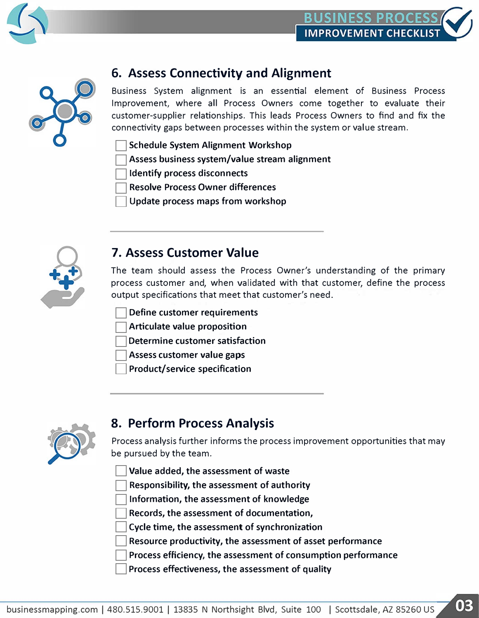

# **6. Assess Connectivity and Alignment**

Business System alignment is an essential element of Business Process Improvement, where all Process Owners come together to evaluate their customer-supplier relationships. This leads Process Owners to find and fix the connectivity gaps between processes within the system or value stream.

- **Schedule System Alignment Workshop**
- **Assess business system/value stream alignment**
- **Identify process disconnects**
- **Resolve Process Owner differences**
- **Update process maps from workshop**



### **7. Assess Customer Value**

The team should assess the Process Owner's understanding of the primary process customer and, when validated with that customer, define the process output specifications that meet that customer's need.

- **Define customer requirements**
- **Articulate value proposition**
- **Determine customer satisfaction**
- **Assess customer value gaps**
- **Product/service specification**



### **8. Perform Process Analysis**

Process analysis further informs the process improvement opportunities that may be pursued by the team.

**Value added, the assessment of waste** 

**Responsibility, the assessment of authority** 

**Information, the assessment of knowledge** 

**Records, the assessment of documentation,** 

**Cycle time, the assessment of synchronization** 

**Resource productivity, the assessment of asset performance** 

**Process efficiency, the assessment of consumption performance**

**Process effectiveness, the assessment of quality**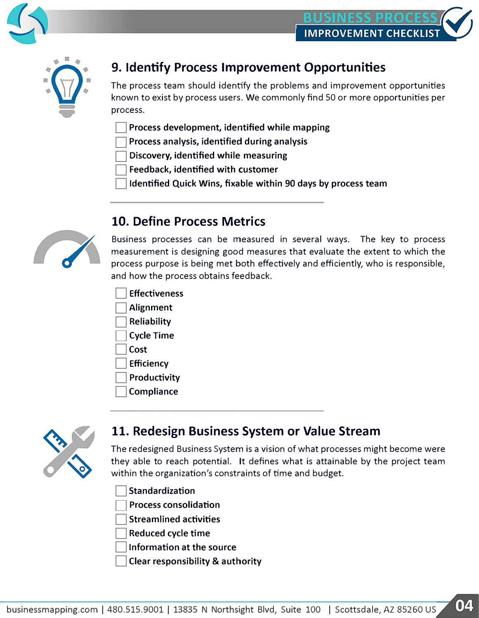



# **9. Identify Process Improvement Opportunities**

The process team should identify the problems and improvement opportunities known to exist by process users. We commonly find 50 or more opportunities per process.

- **Process development, identified while mapping**
- **Process analysis, identified during analysis**
- **Discovery, identified while measuring**
- **Feedback, identified with customer**
- **Identified Quick Wins, fixable within 90 days by process team**



### **10. Define Process Metrics**

Business processes can be measured in several ways. The key to process measurement is designing good measures that evaluate the extent to which the process purpose is being met both effectively and efficiently, who is responsible, and how the process obtains feedback.

- **Effectiveness**
- **Alignment**
- **Reliability**
- **Cycle Time**
- **Cost**
- **Efficiency**
- **Productivity**
- **Compliance**



### **11. Redesign Business System or Value Stream**

The redesigned Business System is a vision of what processes might become were they able to reach potential. It defines what is attainable by the project team within the organization's constraints of time and budget.

**Standardization** 

**Process consolidation** 

**Streamlined activities** 

**Reduced cycle time** 

**Information at the source** 

**Clear responsibility & authority**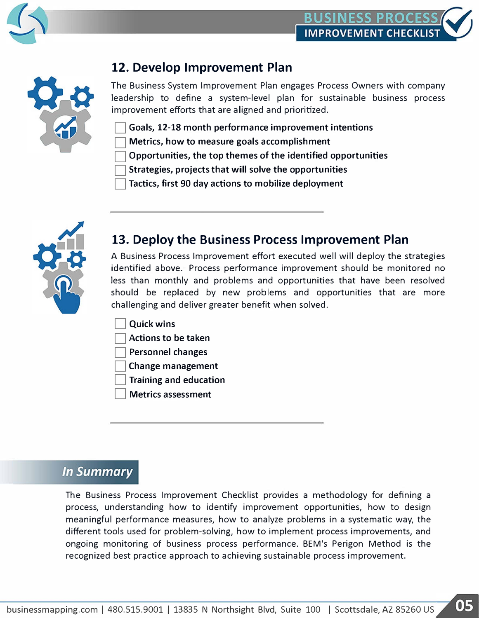

## **12. Develop Improvement Plan**

The Business System Improvement Plan engages Process Owners with company leadership to define a system-level plan for sustainable business process improvement efforts that are aligned and prioritized.

- **Goals, 12-18 month performance improvement intentions**
- **Metrics, how to measure goals accomplishment**
- **Opportunities, the top themes of the identified opportunities**
- **Strategies, projects that will solve the opportunities**
- **Tactics, first 90 day actions to mobilize deployment**



## **13. Deploy the Business Process Improvement Plan**

A Business Process Improvement effort executed well will deploy the strategies identified above. Process performance improvement should be monitored no less than monthly and problems and opportunities that have been resolved should be replaced by new problems and opportunities that are more challenging and deliver greater benefit when solved.

- **Quick wins**
- **Actions to be taken**
- **Personnel changes**
- **Change management**
- **Training and education**
- **Metrics assessment**

### **In Summary**

The Business Process Improvement Checklist provides a methodology for defining a process, understanding how to identify improvement opportunities, how to design meaningful performance measures, how to analyze problems in a systematic way, the different tools used for problem-solving, how to implement process improvements, and ongoing monitoring of business process performance. BEM's Perigon Method is the recognized best practice approach to achieving sustainable process improvement.